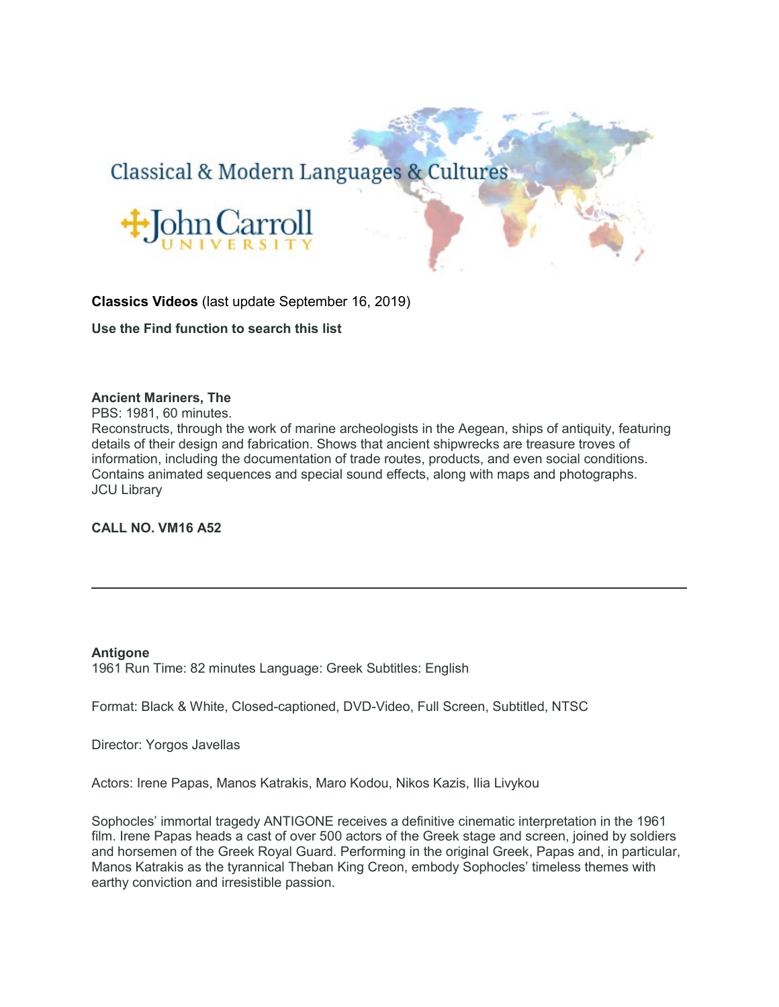# Classical & Modern Languages & Cultures



### **Classics Videos** (last update September 16, 2019)

**Use the Find function to search this list**

### **Ancient Mariners, The**

PBS: 1981, 60 minutes.

Reconstructs, through the work of marine archeologists in the Aegean, ships of antiquity, featuring details of their design and fabrication. Shows that ancient shipwrecks are treasure troves of information, including the documentation of trade routes, products, and even social conditions. Contains animated sequences and special sound effects, along with maps and photographs. JCU Library

### **CALL NO. VM16 A52**

#### **Antigone**

1961 Run Time: 82 minutes Language: Greek Subtitles: English

Format: Black & White, Closed-captioned, DVD-Video, Full Screen, Subtitled, NTSC

Director: Yorgos Javellas

Actors: Irene Papas, Manos Katrakis, Maro Kodou, Nikos Kazis, Ilia Livykou

Sophocles' immortal tragedy ANTIGONE receives a definitive cinematic interpretation in the 1961 film. Irene Papas heads a cast of over 500 actors of the Greek stage and screen, joined by soldiers and horsemen of the Greek Royal Guard. Performing in the original Greek, Papas and, in particular, Manos Katrakis as the tyrannical Theban King Creon, embody Sophocles' timeless themes with earthy conviction and irresistible passion.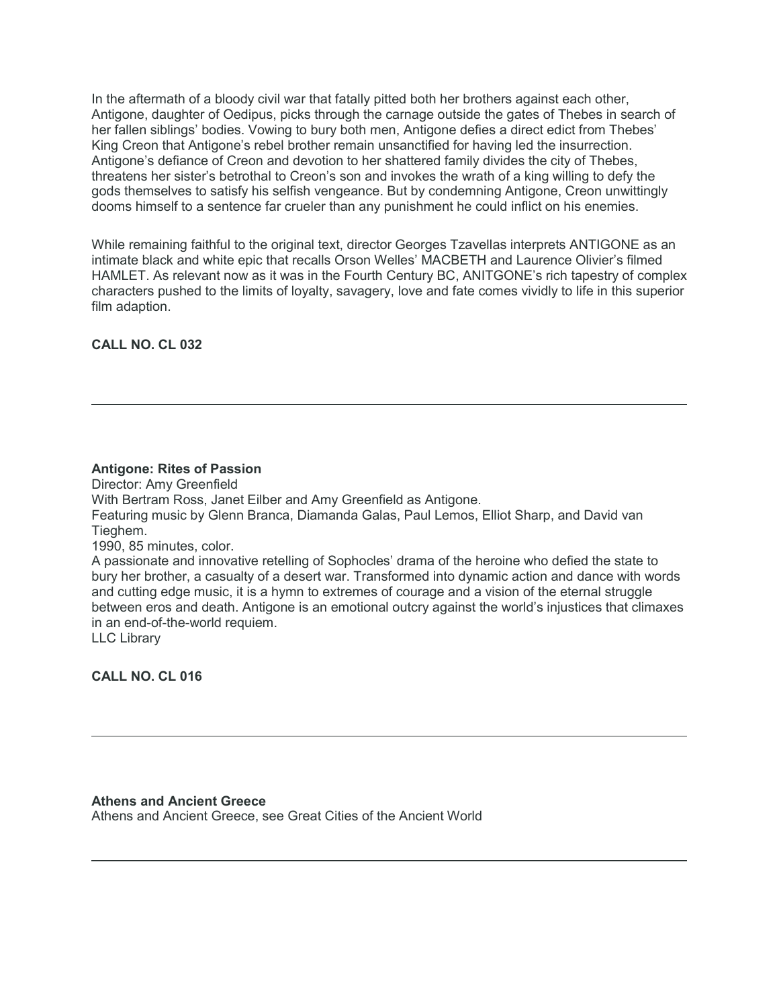In the aftermath of a bloody civil war that fatally pitted both her brothers against each other, Antigone, daughter of Oedipus, picks through the carnage outside the gates of Thebes in search of her fallen siblings' bodies. Vowing to bury both men, Antigone defies a direct edict from Thebes' King Creon that Antigone's rebel brother remain unsanctified for having led the insurrection. Antigone's defiance of Creon and devotion to her shattered family divides the city of Thebes, threatens her sister's betrothal to Creon's son and invokes the wrath of a king willing to defy the gods themselves to satisfy his selfish vengeance. But by condemning Antigone, Creon unwittingly dooms himself to a sentence far crueler than any punishment he could inflict on his enemies.

While remaining faithful to the original text, director Georges Tzavellas interprets ANTIGONE as an intimate black and white epic that recalls Orson Welles' MACBETH and Laurence Olivier's filmed HAMLET. As relevant now as it was in the Fourth Century BC, ANITGONE's rich tapestry of complex characters pushed to the limits of loyalty, savagery, love and fate comes vividly to life in this superior film adaption.

**CALL NO. CL 032**

### **Antigone: Rites of Passion**

Director: Amy Greenfield With Bertram Ross, Janet Eilber and Amy Greenfield as Antigone. Featuring music by Glenn Branca, Diamanda Galas, Paul Lemos, Elliot Sharp, and David van Tieghem. 1990, 85 minutes, color. A passionate and innovative retelling of Sophocles' drama of the heroine who defied the state to

bury her brother, a casualty of a desert war. Transformed into dynamic action and dance with words and cutting edge music, it is a hymn to extremes of courage and a vision of the eternal struggle between eros and death. Antigone is an emotional outcry against the world's injustices that climaxes in an end-of-the-world requiem.

LLC Library

**CALL NO. CL 016**

**Athens and Ancient Greece** Athens and Ancient Greece, see Great Cities of the Ancient World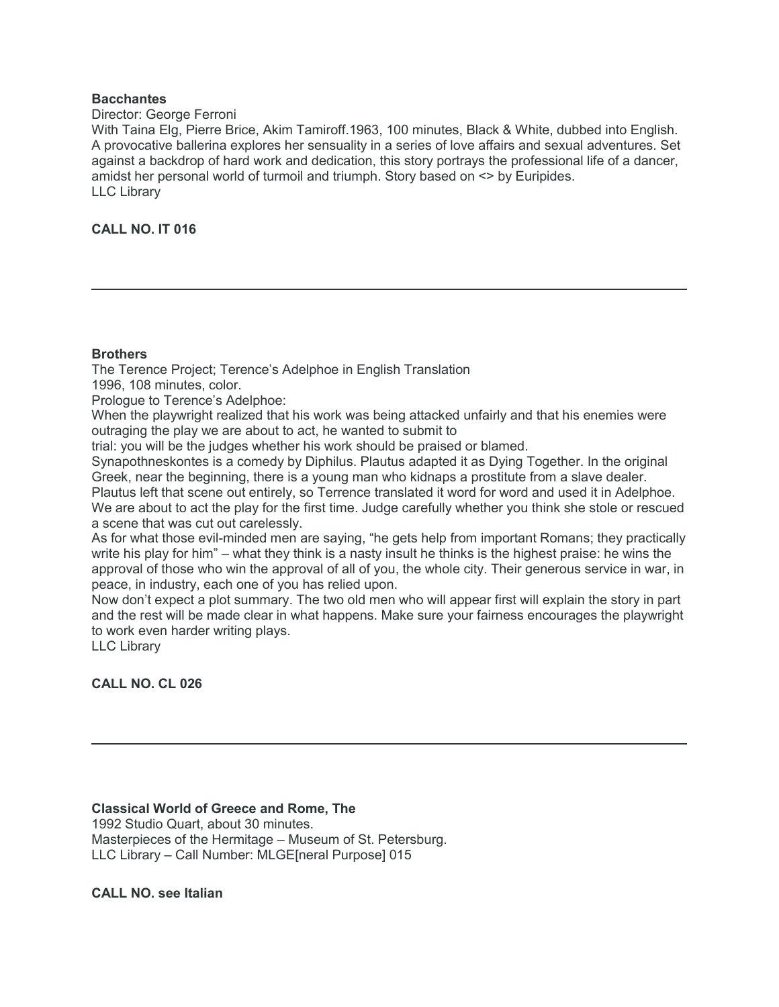### **Bacchantes**

#### Director: George Ferroni

With Taina Elg, Pierre Brice, Akim Tamiroff.1963, 100 minutes, Black & White, dubbed into English. A provocative ballerina explores her sensuality in a series of love affairs and sexual adventures. Set against a backdrop of hard work and dedication, this story portrays the professional life of a dancer, amidst her personal world of turmoil and triumph. Story based on <> by Euripides. LLC Library

### **CALL NO. IT 016**

### **Brothers**

The Terence Project; Terence's Adelphoe in English Translation

1996, 108 minutes, color.

Prologue to Terence's Adelphoe:

When the playwright realized that his work was being attacked unfairly and that his enemies were outraging the play we are about to act, he wanted to submit to

trial: you will be the judges whether his work should be praised or blamed.

Synapothneskontes is a comedy by Diphilus. Plautus adapted it as Dying Together. In the original Greek, near the beginning, there is a young man who kidnaps a prostitute from a slave dealer.

Plautus left that scene out entirely, so Terrence translated it word for word and used it in Adelphoe. We are about to act the play for the first time. Judge carefully whether you think she stole or rescued a scene that was cut out carelessly.

As for what those evil-minded men are saying, "he gets help from important Romans; they practically write his play for him" – what they think is a nasty insult he thinks is the highest praise: he wins the approval of those who win the approval of all of you, the whole city. Their generous service in war, in peace, in industry, each one of you has relied upon.

Now don't expect a plot summary. The two old men who will appear first will explain the story in part and the rest will be made clear in what happens. Make sure your fairness encourages the playwright to work even harder writing plays.

LLC Library

**CALL NO. CL 026**

**Classical World of Greece and Rome, The**

1992 Studio Quart, about 30 minutes. Masterpieces of the Hermitage – Museum of St. Petersburg. LLC Library – Call Number: MLGE[neral Purpose] 015

**CALL NO. see Italian**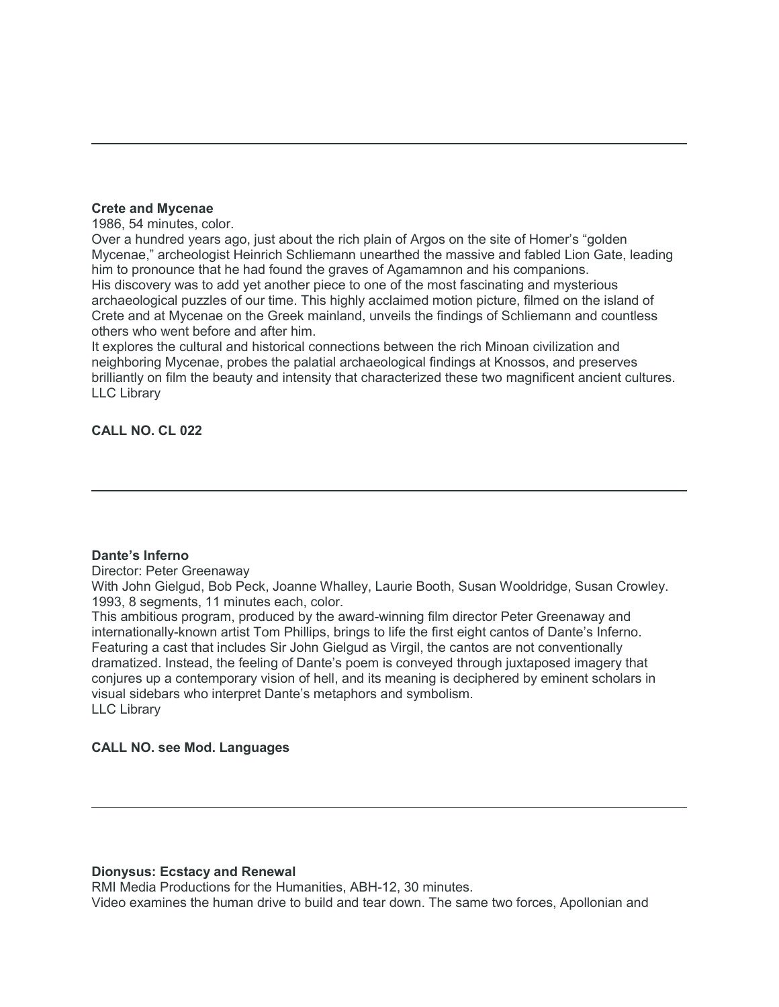### **Crete and Mycenae**

1986, 54 minutes, color.

Over a hundred years ago, just about the rich plain of Argos on the site of Homer's "golden Mycenae," archeologist Heinrich Schliemann unearthed the massive and fabled Lion Gate, leading him to pronounce that he had found the graves of Agamamnon and his companions. His discovery was to add yet another piece to one of the most fascinating and mysterious archaeological puzzles of our time. This highly acclaimed motion picture, filmed on the island of Crete and at Mycenae on the Greek mainland, unveils the findings of Schliemann and countless others who went before and after him.

It explores the cultural and historical connections between the rich Minoan civilization and neighboring Mycenae, probes the palatial archaeological findings at Knossos, and preserves brilliantly on film the beauty and intensity that characterized these two magnificent ancient cultures. LLC Library

### **CALL NO. CL 022**

### **Dante's Inferno**

Director: Peter Greenaway

With John Gielgud, Bob Peck, Joanne Whalley, Laurie Booth, Susan Wooldridge, Susan Crowley. 1993, 8 segments, 11 minutes each, color.

This ambitious program, produced by the award-winning film director Peter Greenaway and internationally-known artist Tom Phillips, brings to life the first eight cantos of Dante's Inferno. Featuring a cast that includes Sir John Gielgud as Virgil, the cantos are not conventionally dramatized. Instead, the feeling of Dante's poem is conveyed through juxtaposed imagery that conjures up a contemporary vision of hell, and its meaning is deciphered by eminent scholars in visual sidebars who interpret Dante's metaphors and symbolism. LLC Library

### **CALL NO. see Mod. Languages**

### **Dionysus: Ecstacy and Renewal**

RMI Media Productions for the Humanities, ABH-12, 30 minutes. Video examines the human drive to build and tear down. The same two forces, Apollonian and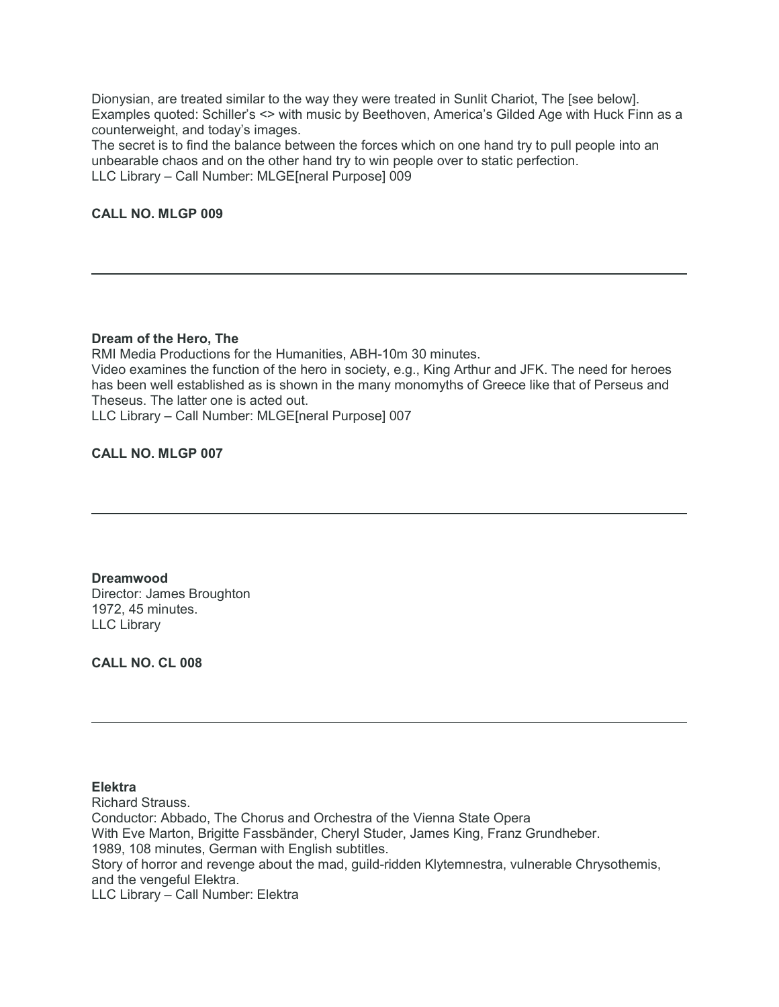Dionysian, are treated similar to the way they were treated in Sunlit Chariot, The [see below]. Examples quoted: Schiller's <> with music by Beethoven, America's Gilded Age with Huck Finn as a counterweight, and today's images.

The secret is to find the balance between the forces which on one hand try to pull people into an unbearable chaos and on the other hand try to win people over to static perfection. LLC Library – Call Number: MLGE[neral Purpose] 009

### **CALL NO. MLGP 009**

#### **Dream of the Hero, The**

RMI Media Productions for the Humanities, ABH-10m 30 minutes. Video examines the function of the hero in society, e.g., King Arthur and JFK. The need for heroes

has been well established as is shown in the many monomyths of Greece like that of Perseus and Theseus. The latter one is acted out.

LLC Library – Call Number: MLGE[neral Purpose] 007

### **CALL NO. MLGP 007**

**Dreamwood** Director: James Broughton 1972, 45 minutes. LLC Library

**CALL NO. CL 008**

### **Elektra**

Richard Strauss. Conductor: Abbado, The Chorus and Orchestra of the Vienna State Opera With Eve Marton, Brigitte Fassbänder, Cheryl Studer, James King, Franz Grundheber. 1989, 108 minutes, German with English subtitles. Story of horror and revenge about the mad, guild-ridden Klytemnestra, vulnerable Chrysothemis, and the vengeful Elektra. LLC Library – Call Number: Elektra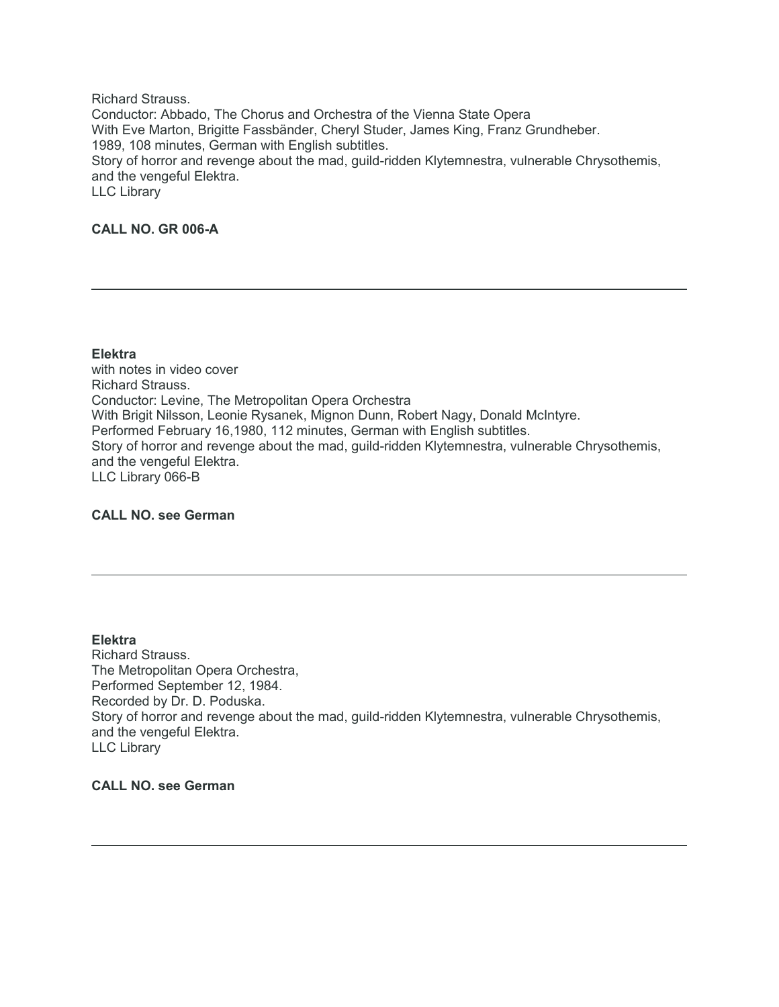Richard Strauss. Conductor: Abbado, The Chorus and Orchestra of the Vienna State Opera With Eve Marton, Brigitte Fassbänder, Cheryl Studer, James King, Franz Grundheber. 1989, 108 minutes, German with English subtitles. Story of horror and revenge about the mad, guild-ridden Klytemnestra, vulnerable Chrysothemis, and the vengeful Elektra. LLC Library

### **CALL NO. GR 006-A**

**Elektra** with notes in video cover Richard Strauss. Conductor: Levine, The Metropolitan Opera Orchestra With Brigit Nilsson, Leonie Rysanek, Mignon Dunn, Robert Nagy, Donald McIntyre. Performed February 16,1980, 112 minutes, German with English subtitles. Story of horror and revenge about the mad, guild-ridden Klytemnestra, vulnerable Chrysothemis, and the vengeful Elektra. LLC Library 066-B

### **CALL NO. see German**

**Elektra** Richard Strauss. The Metropolitan Opera Orchestra, Performed September 12, 1984. Recorded by Dr. D. Poduska. Story of horror and revenge about the mad, guild-ridden Klytemnestra, vulnerable Chrysothemis, and the vengeful Elektra. LLC Library

**CALL NO. see German**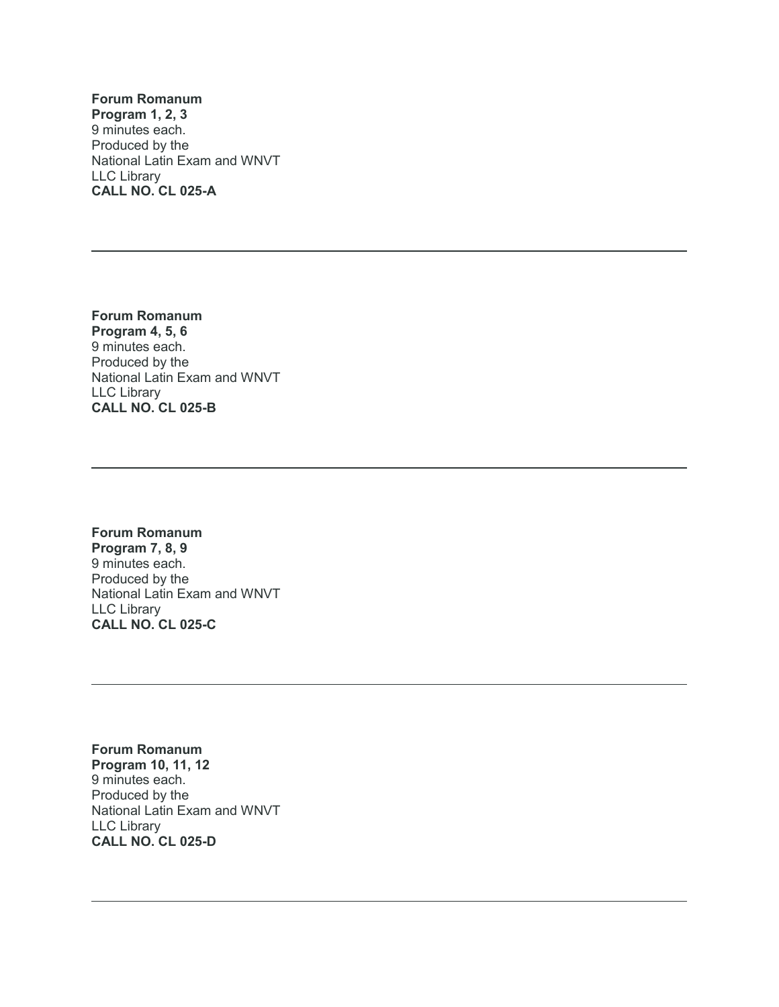**Forum Romanum Program 1, 2, 3** 9 minutes each. Produced by the National Latin Exam and WNVT LLC Library **CALL NO. CL 025-A**

**Forum Romanum Program 4, 5, 6** 9 minutes each. Produced by the National Latin Exam and WNVT LLC Library **CALL NO. CL 025-B**

**Forum Romanum Program 7, 8, 9** 9 minutes each. Produced by the National Latin Exam and WNVT LLC Library **CALL NO. CL 025-C**

**Forum Romanum Program 10, 11, 12** 9 minutes each. Produced by the National Latin Exam and WNVT LLC Library **CALL NO. CL 025-D**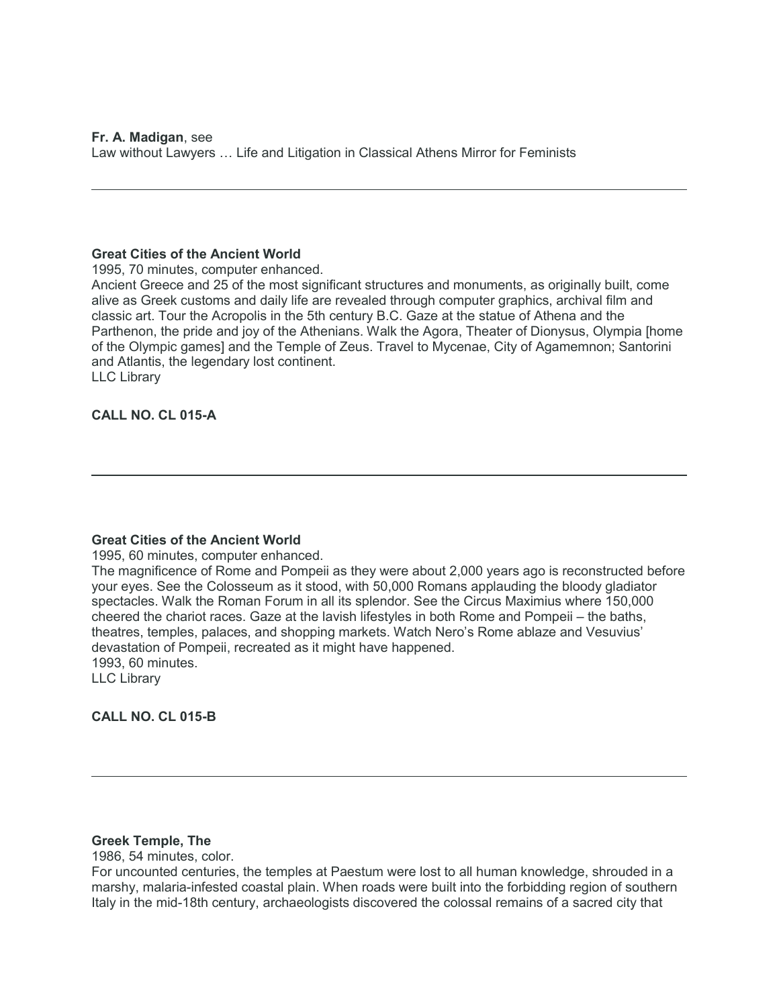**Fr. A. Madigan**, see Law without Lawyers … Life and Litigation in Classical Athens Mirror for Feminists

### **Great Cities of the Ancient World**

1995, 70 minutes, computer enhanced.

Ancient Greece and 25 of the most significant structures and monuments, as originally built, come alive as Greek customs and daily life are revealed through computer graphics, archival film and classic art. Tour the Acropolis in the 5th century B.C. Gaze at the statue of Athena and the Parthenon, the pride and joy of the Athenians. Walk the Agora, Theater of Dionysus, Olympia [home of the Olympic games] and the Temple of Zeus. Travel to Mycenae, City of Agamemnon; Santorini and Atlantis, the legendary lost continent. LLC Library

### **CALL NO. CL 015-A**

#### **Great Cities of the Ancient World**

1995, 60 minutes, computer enhanced.

The magnificence of Rome and Pompeii as they were about 2,000 years ago is reconstructed before your eyes. See the Colosseum as it stood, with 50,000 Romans applauding the bloody gladiator spectacles. Walk the Roman Forum in all its splendor. See the Circus Maximius where 150,000 cheered the chariot races. Gaze at the lavish lifestyles in both Rome and Pompeii – the baths, theatres, temples, palaces, and shopping markets. Watch Nero's Rome ablaze and Vesuvius' devastation of Pompeii, recreated as it might have happened. 1993, 60 minutes.

LLC Library

**CALL NO. CL 015-B**

#### **Greek Temple, The**

1986, 54 minutes, color.

For uncounted centuries, the temples at Paestum were lost to all human knowledge, shrouded in a marshy, malaria-infested coastal plain. When roads were built into the forbidding region of southern Italy in the mid-18th century, archaeologists discovered the colossal remains of a sacred city that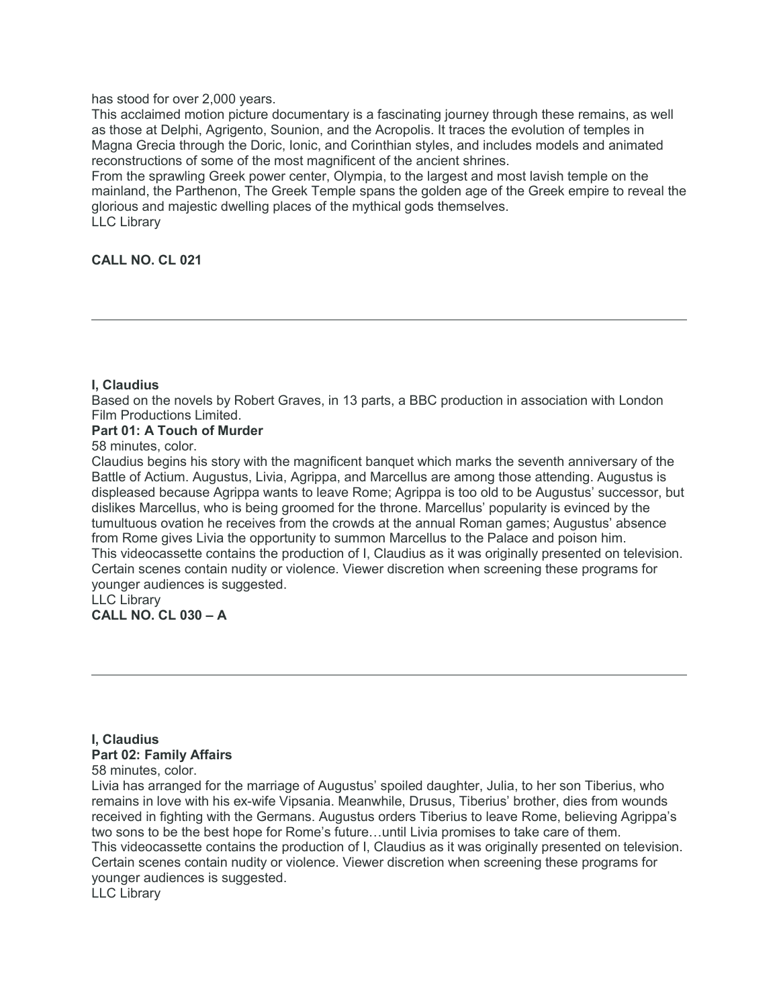### has stood for over 2,000 years.

This acclaimed motion picture documentary is a fascinating journey through these remains, as well as those at Delphi, Agrigento, Sounion, and the Acropolis. It traces the evolution of temples in Magna Grecia through the Doric, Ionic, and Corinthian styles, and includes models and animated reconstructions of some of the most magnificent of the ancient shrines.

From the sprawling Greek power center, Olympia, to the largest and most lavish temple on the mainland, the Parthenon, The Greek Temple spans the golden age of the Greek empire to reveal the glorious and majestic dwelling places of the mythical gods themselves. LLC Library

### **CALL NO. CL 021**

### **I, Claudius**

Based on the novels by Robert Graves, in 13 parts, a BBC production in association with London Film Productions Limited.

### **Part 01: A Touch of Murder**

58 minutes, color.

Claudius begins his story with the magnificent banquet which marks the seventh anniversary of the Battle of Actium. Augustus, Livia, Agrippa, and Marcellus are among those attending. Augustus is displeased because Agrippa wants to leave Rome; Agrippa is too old to be Augustus' successor, but dislikes Marcellus, who is being groomed for the throne. Marcellus' popularity is evinced by the tumultuous ovation he receives from the crowds at the annual Roman games; Augustus' absence from Rome gives Livia the opportunity to summon Marcellus to the Palace and poison him. This videocassette contains the production of I, Claudius as it was originally presented on television. Certain scenes contain nudity or violence. Viewer discretion when screening these programs for younger audiences is suggested. LLC Library

**CALL NO. CL 030 – A**

### **I, Claudius Part 02: Family Affairs** 58 minutes, color.

Livia has arranged for the marriage of Augustus' spoiled daughter, Julia, to her son Tiberius, who remains in love with his ex-wife Vipsania. Meanwhile, Drusus, Tiberius' brother, dies from wounds received in fighting with the Germans. Augustus orders Tiberius to leave Rome, believing Agrippa's two sons to be the best hope for Rome's future…until Livia promises to take care of them. This videocassette contains the production of I, Claudius as it was originally presented on television. Certain scenes contain nudity or violence. Viewer discretion when screening these programs for younger audiences is suggested. LLC Library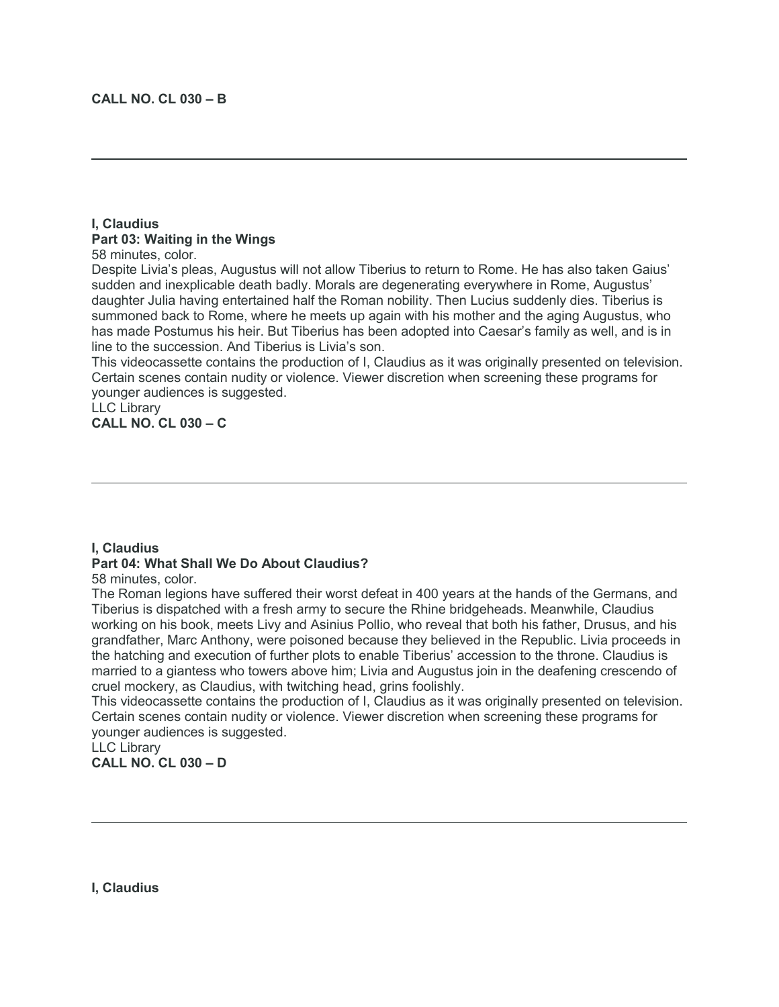### **I, Claudius Part 03: Waiting in the Wings**

58 minutes, color.

Despite Livia's pleas, Augustus will not allow Tiberius to return to Rome. He has also taken Gaius' sudden and inexplicable death badly. Morals are degenerating everywhere in Rome, Augustus' daughter Julia having entertained half the Roman nobility. Then Lucius suddenly dies. Tiberius is summoned back to Rome, where he meets up again with his mother and the aging Augustus, who has made Postumus his heir. But Tiberius has been adopted into Caesar's family as well, and is in line to the succession. And Tiberius is Livia's son.

This videocassette contains the production of I, Claudius as it was originally presented on television. Certain scenes contain nudity or violence. Viewer discretion when screening these programs for younger audiences is suggested.

LLC Library **CALL NO. CL 030 – C**

### **I, Claudius**

## **Part 04: What Shall We Do About Claudius?**

58 minutes, color.

The Roman legions have suffered their worst defeat in 400 years at the hands of the Germans, and Tiberius is dispatched with a fresh army to secure the Rhine bridgeheads. Meanwhile, Claudius working on his book, meets Livy and Asinius Pollio, who reveal that both his father, Drusus, and his grandfather, Marc Anthony, were poisoned because they believed in the Republic. Livia proceeds in the hatching and execution of further plots to enable Tiberius' accession to the throne. Claudius is married to a giantess who towers above him; Livia and Augustus join in the deafening crescendo of cruel mockery, as Claudius, with twitching head, grins foolishly.

This videocassette contains the production of I, Claudius as it was originally presented on television. Certain scenes contain nudity or violence. Viewer discretion when screening these programs for younger audiences is suggested.

LLC Library **CALL NO. CL 030 – D**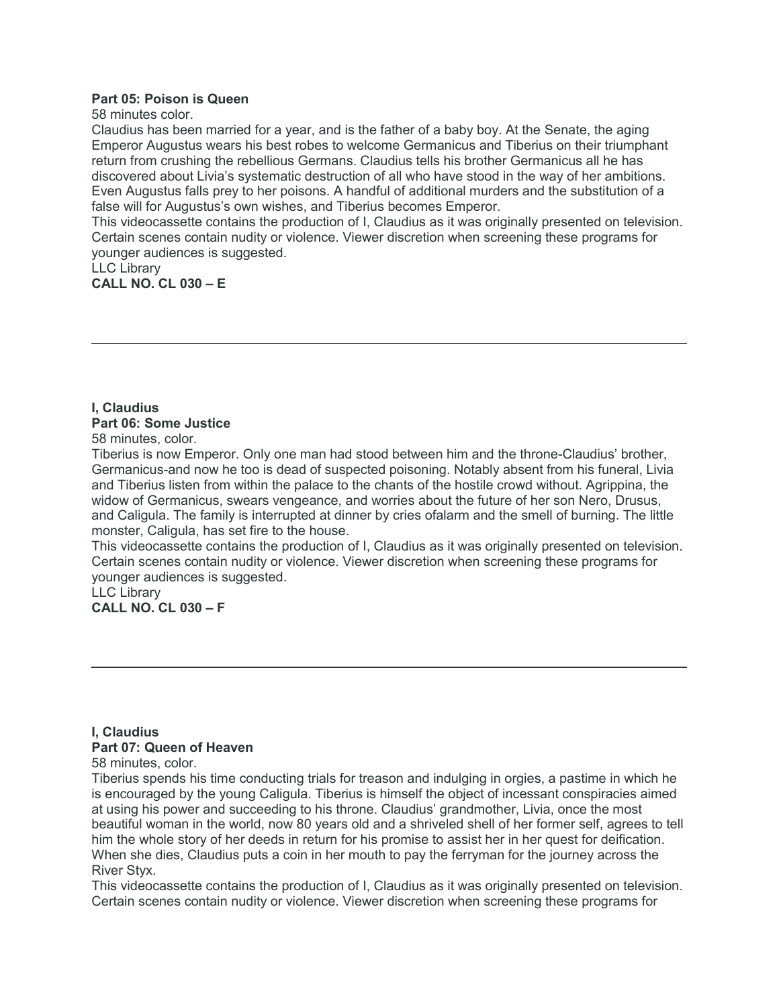### **Part 05: Poison is Queen**

58 minutes color.

Claudius has been married for a year, and is the father of a baby boy. At the Senate, the aging Emperor Augustus wears his best robes to welcome Germanicus and Tiberius on their triumphant return from crushing the rebellious Germans. Claudius tells his brother Germanicus all he has discovered about Livia's systematic destruction of all who have stood in the way of her ambitions. Even Augustus falls prey to her poisons. A handful of additional murders and the substitution of a false will for Augustus's own wishes, and Tiberius becomes Emperor.

This videocassette contains the production of I, Claudius as it was originally presented on television. Certain scenes contain nudity or violence. Viewer discretion when screening these programs for younger audiences is suggested.

LLC Library **CALL NO. CL 030 – E**

### **I, Claudius Part 06: Some Justice** 58 minutes, color.

Tiberius is now Emperor. Only one man had stood between him and the throne-Claudius' brother, Germanicus-and now he too is dead of suspected poisoning. Notably absent from his funeral, Livia and Tiberius listen from within the palace to the chants of the hostile crowd without. Agrippina, the widow of Germanicus, swears vengeance, and worries about the future of her son Nero, Drusus, and Caligula. The family is interrupted at dinner by cries ofalarm and the smell of burning. The little

monster, Caligula, has set fire to the house.

This videocassette contains the production of I, Claudius as it was originally presented on television. Certain scenes contain nudity or violence. Viewer discretion when screening these programs for younger audiences is suggested.

LLC Library **CALL NO. CL 030 – F**

### **I, Claudius Part 07: Queen of Heaven**

58 minutes, color.

Tiberius spends his time conducting trials for treason and indulging in orgies, a pastime in which he is encouraged by the young Caligula. Tiberius is himself the object of incessant conspiracies aimed at using his power and succeeding to his throne. Claudius' grandmother, Livia, once the most beautiful woman in the world, now 80 years old and a shriveled shell of her former self, agrees to tell him the whole story of her deeds in return for his promise to assist her in her quest for deification. When she dies, Claudius puts a coin in her mouth to pay the ferryman for the journey across the River Styx.

This videocassette contains the production of I, Claudius as it was originally presented on television. Certain scenes contain nudity or violence. Viewer discretion when screening these programs for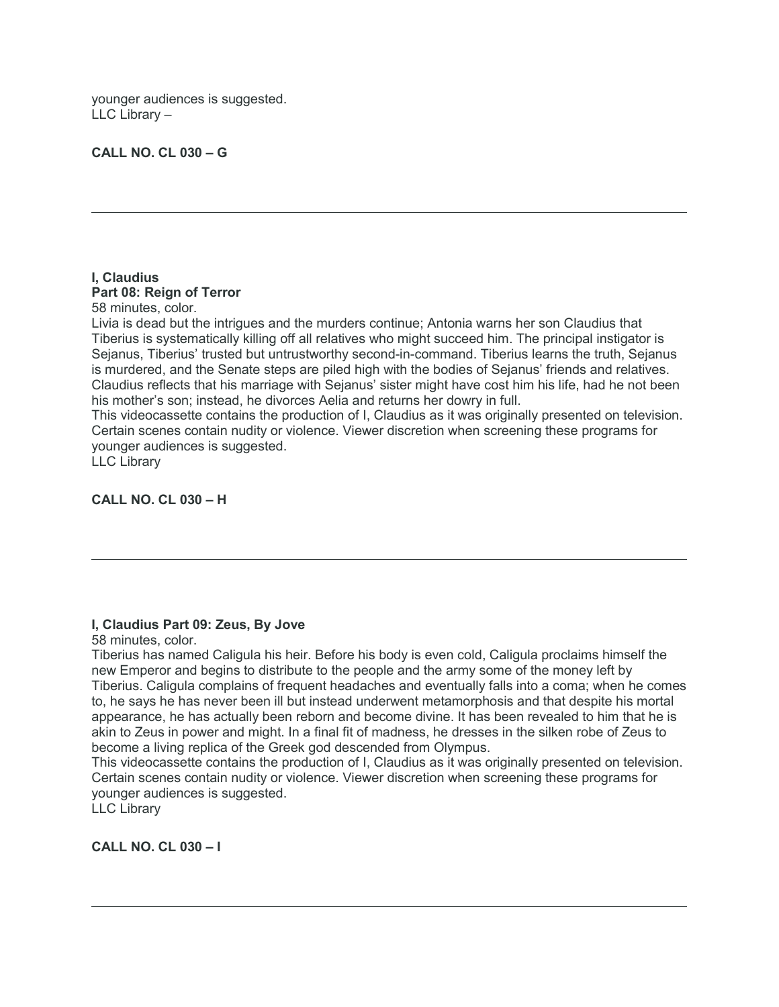younger audiences is suggested. LLC Library –

### **CALL NO. CL 030 – G**

### **I, Claudius Part 08: Reign of Terror**

58 minutes, color.

Livia is dead but the intrigues and the murders continue; Antonia warns her son Claudius that Tiberius is systematically killing off all relatives who might succeed him. The principal instigator is Sejanus, Tiberius' trusted but untrustworthy second-in-command. Tiberius learns the truth, Sejanus is murdered, and the Senate steps are piled high with the bodies of Sejanus' friends and relatives. Claudius reflects that his marriage with Sejanus' sister might have cost him his life, had he not been his mother's son; instead, he divorces Aelia and returns her dowry in full.

This videocassette contains the production of I, Claudius as it was originally presented on television. Certain scenes contain nudity or violence. Viewer discretion when screening these programs for younger audiences is suggested.

LLC Library

**CALL NO. CL 030 – H**

### **I, Claudius Part 09: Zeus, By Jove**

58 minutes, color.

Tiberius has named Caligula his heir. Before his body is even cold, Caligula proclaims himself the new Emperor and begins to distribute to the people and the army some of the money left by Tiberius. Caligula complains of frequent headaches and eventually falls into a coma; when he comes to, he says he has never been ill but instead underwent metamorphosis and that despite his mortal appearance, he has actually been reborn and become divine. It has been revealed to him that he is akin to Zeus in power and might. In a final fit of madness, he dresses in the silken robe of Zeus to become a living replica of the Greek god descended from Olympus.

This videocassette contains the production of I, Claudius as it was originally presented on television. Certain scenes contain nudity or violence. Viewer discretion when screening these programs for younger audiences is suggested.

LLC Library

**CALL NO. CL 030 – I**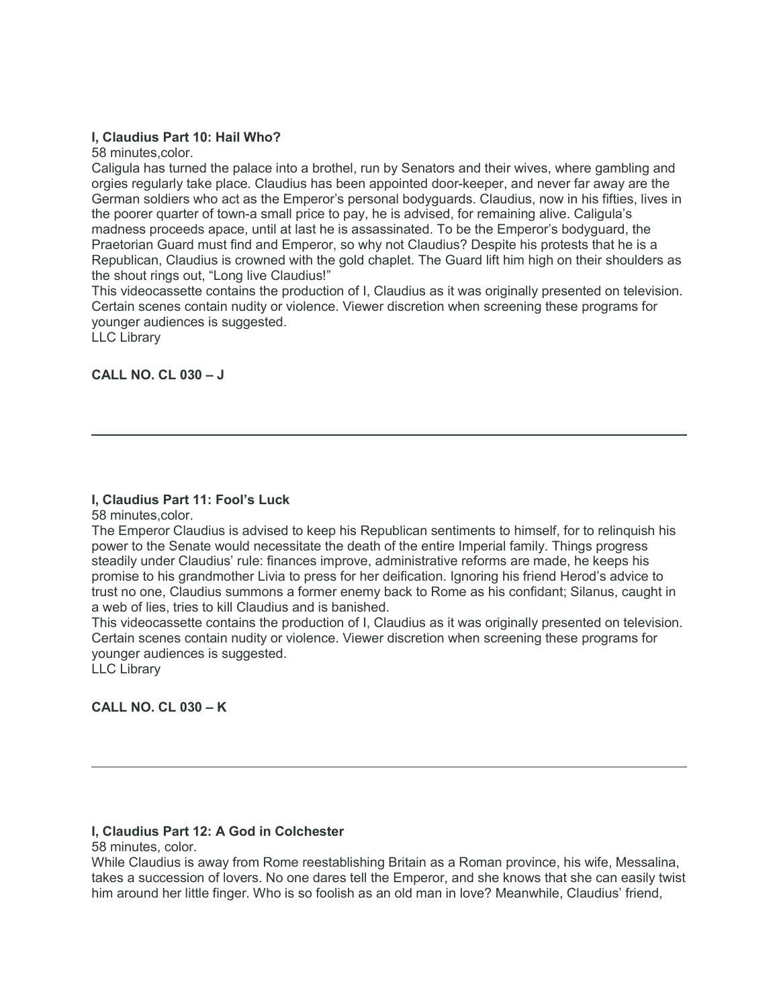### **I, Claudius Part 10: Hail Who?**

58 minutes,color.

Caligula has turned the palace into a brothel, run by Senators and their wives, where gambling and orgies regularly take place. Claudius has been appointed door-keeper, and never far away are the German soldiers who act as the Emperor's personal bodyguards. Claudius, now in his fifties, lives in the poorer quarter of town-a small price to pay, he is advised, for remaining alive. Caligula's madness proceeds apace, until at last he is assassinated. To be the Emperor's bodyguard, the Praetorian Guard must find and Emperor, so why not Claudius? Despite his protests that he is a Republican, Claudius is crowned with the gold chaplet. The Guard lift him high on their shoulders as the shout rings out, "Long live Claudius!"

This videocassette contains the production of I, Claudius as it was originally presented on television. Certain scenes contain nudity or violence. Viewer discretion when screening these programs for younger audiences is suggested.

LLC Library

### **CALL NO. CL 030 – J**

### **I, Claudius Part 11: Fool's Luck**

58 minutes,color.

The Emperor Claudius is advised to keep his Republican sentiments to himself, for to relinquish his power to the Senate would necessitate the death of the entire Imperial family. Things progress steadily under Claudius' rule: finances improve, administrative reforms are made, he keeps his promise to his grandmother Livia to press for her deification. Ignoring his friend Herod's advice to trust no one, Claudius summons a former enemy back to Rome as his confidant; Silanus, caught in a web of lies, tries to kill Claudius and is banished.

This videocassette contains the production of I, Claudius as it was originally presented on television. Certain scenes contain nudity or violence. Viewer discretion when screening these programs for younger audiences is suggested.

LLC Library

**CALL NO. CL 030 – K**

### **I, Claudius Part 12: A God in Colchester**

58 minutes, color.

While Claudius is away from Rome reestablishing Britain as a Roman province, his wife, Messalina, takes a succession of lovers. No one dares tell the Emperor, and she knows that she can easily twist him around her little finger. Who is so foolish as an old man in love? Meanwhile, Claudius' friend,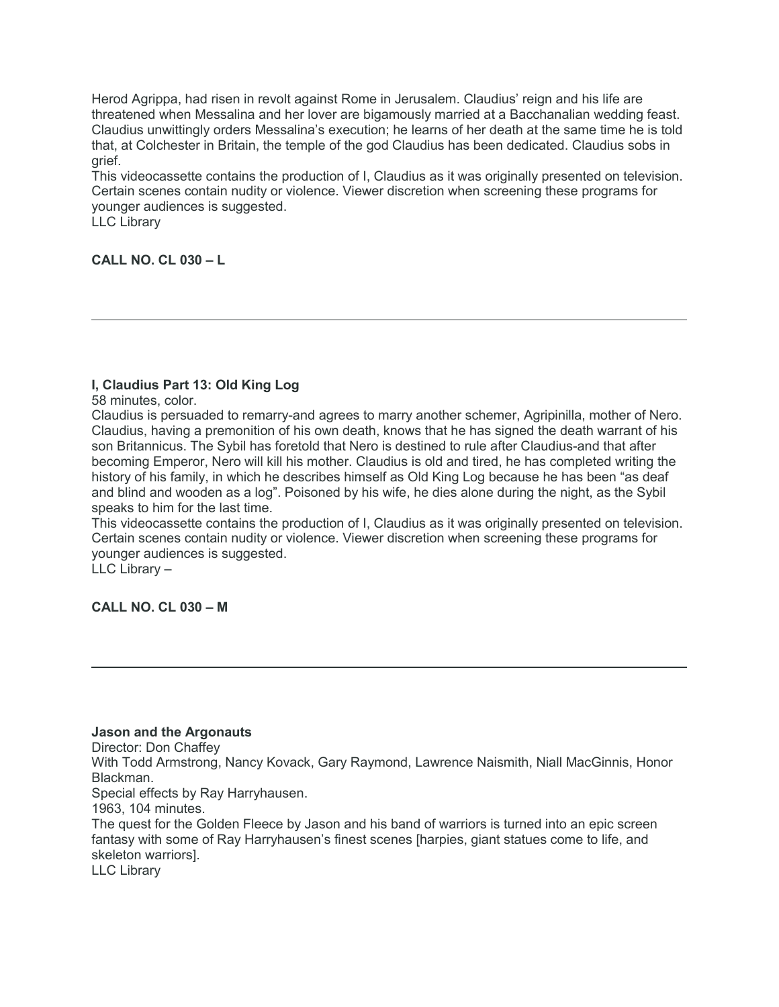Herod Agrippa, had risen in revolt against Rome in Jerusalem. Claudius' reign and his life are threatened when Messalina and her lover are bigamously married at a Bacchanalian wedding feast. Claudius unwittingly orders Messalina's execution; he learns of her death at the same time he is told that, at Colchester in Britain, the temple of the god Claudius has been dedicated. Claudius sobs in grief.

This videocassette contains the production of I, Claudius as it was originally presented on television. Certain scenes contain nudity or violence. Viewer discretion when screening these programs for younger audiences is suggested.

LLC Library

**CALL NO. CL 030 – L**

### **I, Claudius Part 13: Old King Log**

58 minutes, color.

Claudius is persuaded to remarry-and agrees to marry another schemer, Agripinilla, mother of Nero. Claudius, having a premonition of his own death, knows that he has signed the death warrant of his son Britannicus. The Sybil has foretold that Nero is destined to rule after Claudius-and that after becoming Emperor, Nero will kill his mother. Claudius is old and tired, he has completed writing the history of his family, in which he describes himself as Old King Log because he has been "as deaf and blind and wooden as a log". Poisoned by his wife, he dies alone during the night, as the Sybil speaks to him for the last time.

This videocassette contains the production of I, Claudius as it was originally presented on television. Certain scenes contain nudity or violence. Viewer discretion when screening these programs for younger audiences is suggested.

LLC Library –

**CALL NO. CL 030 – M**

#### **Jason and the Argonauts**

Director: Don Chaffey

With Todd Armstrong, Nancy Kovack, Gary Raymond, Lawrence Naismith, Niall MacGinnis, Honor Blackman.

Special effects by Ray Harryhausen.

1963, 104 minutes.

The quest for the Golden Fleece by Jason and his band of warriors is turned into an epic screen fantasy with some of Ray Harryhausen's finest scenes [harpies, giant statues come to life, and skeleton warriors].

LLC Library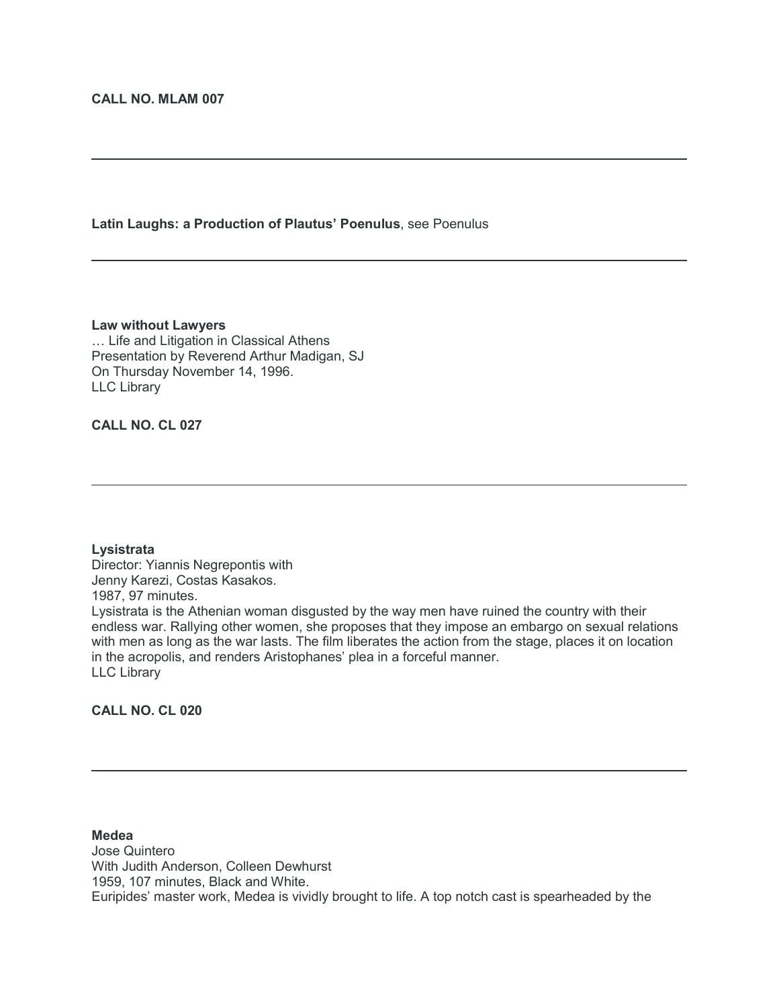### **Latin Laughs: a Production of Plautus' Poenulus**, see Poenulus

#### **Law without Lawyers**

… Life and Litigation in Classical Athens Presentation by Reverend Arthur Madigan, SJ On Thursday November 14, 1996. LLC Library

### **CALL NO. CL 027**

#### **Lysistrata**

Director: Yiannis Negrepontis with Jenny Karezi, Costas Kasakos. 1987, 97 minutes. Lysistrata is the Athenian woman disgusted by the way men have ruined the country with their endless war. Rallying other women, she proposes that they impose an embargo on sexual relations with men as long as the war lasts. The film liberates the action from the stage, places it on location in the acropolis, and renders Aristophanes' plea in a forceful manner. LLC Library

### **CALL NO. CL 020**

#### **Medea**

Jose Quintero With Judith Anderson, Colleen Dewhurst 1959, 107 minutes, Black and White. Euripides' master work, Medea is vividly brought to life. A top notch cast is spearheaded by the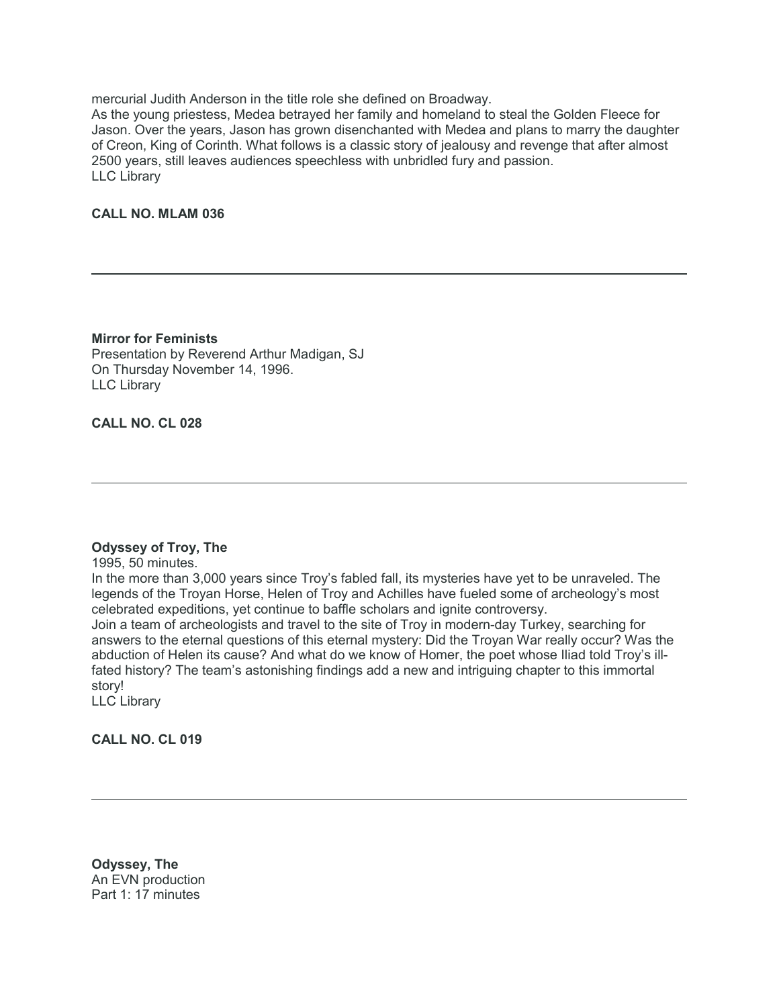mercurial Judith Anderson in the title role she defined on Broadway.

As the young priestess, Medea betrayed her family and homeland to steal the Golden Fleece for Jason. Over the years, Jason has grown disenchanted with Medea and plans to marry the daughter of Creon, King of Corinth. What follows is a classic story of jealousy and revenge that after almost 2500 years, still leaves audiences speechless with unbridled fury and passion. LLC Library

### **CALL NO. MLAM 036**

**Mirror for Feminists** Presentation by Reverend Arthur Madigan, SJ On Thursday November 14, 1996. LLC Library

### **CALL NO. CL 028**

#### **Odyssey of Troy, The**

1995, 50 minutes.

In the more than 3,000 years since Troy's fabled fall, its mysteries have yet to be unraveled. The legends of the Troyan Horse, Helen of Troy and Achilles have fueled some of archeology's most celebrated expeditions, yet continue to baffle scholars and ignite controversy.

Join a team of archeologists and travel to the site of Troy in modern-day Turkey, searching for answers to the eternal questions of this eternal mystery: Did the Troyan War really occur? Was the abduction of Helen its cause? And what do we know of Homer, the poet whose Iliad told Troy's illfated history? The team's astonishing findings add a new and intriguing chapter to this immortal story!

LLC Library

**CALL NO. CL 019**

**Odyssey, The** An EVN production Part 1: 17 minutes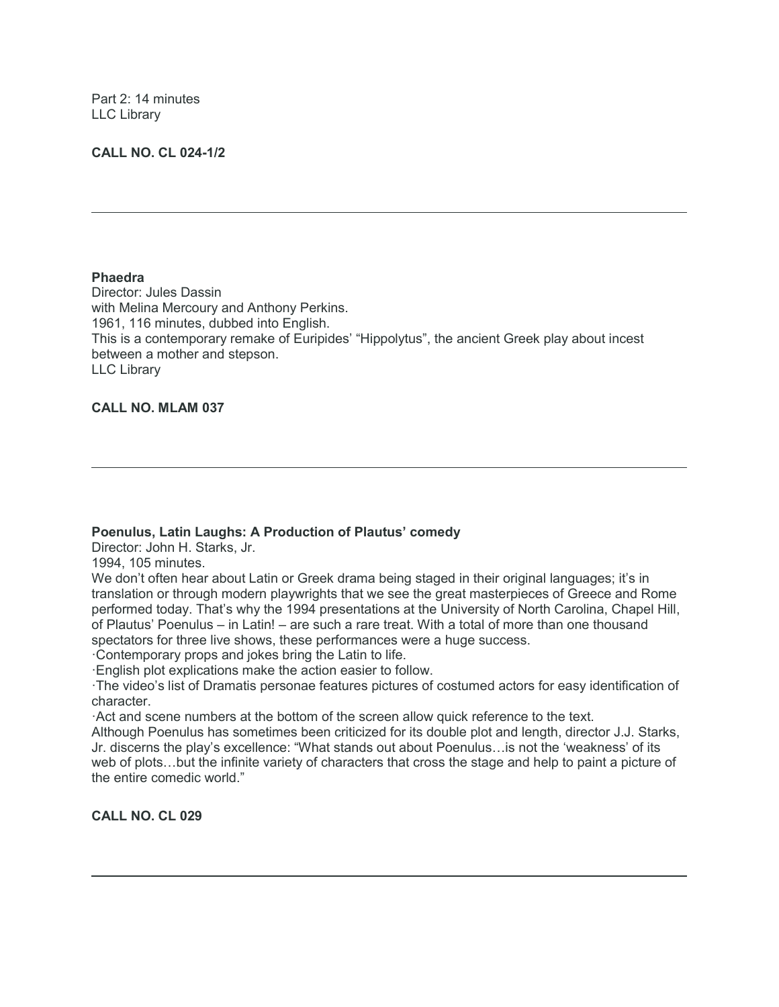Part 2: 14 minutes LLC Library

### **CALL NO. CL 024-1/2**

#### **Phaedra**

Director: Jules Dassin with Melina Mercoury and Anthony Perkins. 1961, 116 minutes, dubbed into English. This is a contemporary remake of Euripides' "Hippolytus", the ancient Greek play about incest between a mother and stepson. LLC Library

### **CALL NO. MLAM 037**

### **Poenulus, Latin Laughs: A Production of Plautus' comedy**

Director: John H. Starks, Jr.

1994, 105 minutes.

We don't often hear about Latin or Greek drama being staged in their original languages; it's in translation or through modern playwrights that we see the great masterpieces of Greece and Rome performed today. That's why the 1994 presentations at the University of North Carolina, Chapel Hill, of Plautus' Poenulus – in Latin! – are such a rare treat. With a total of more than one thousand spectators for three live shows, these performances were a huge success.

·Contemporary props and jokes bring the Latin to life.

·English plot explications make the action easier to follow.

·The video's list of Dramatis personae features pictures of costumed actors for easy identification of character.

·Act and scene numbers at the bottom of the screen allow quick reference to the text.

Although Poenulus has sometimes been criticized for its double plot and length, director J.J. Starks, Jr. discerns the play's excellence: "What stands out about Poenulus…is not the 'weakness' of its web of plots…but the infinite variety of characters that cross the stage and help to paint a picture of the entire comedic world."

**CALL NO. CL 029**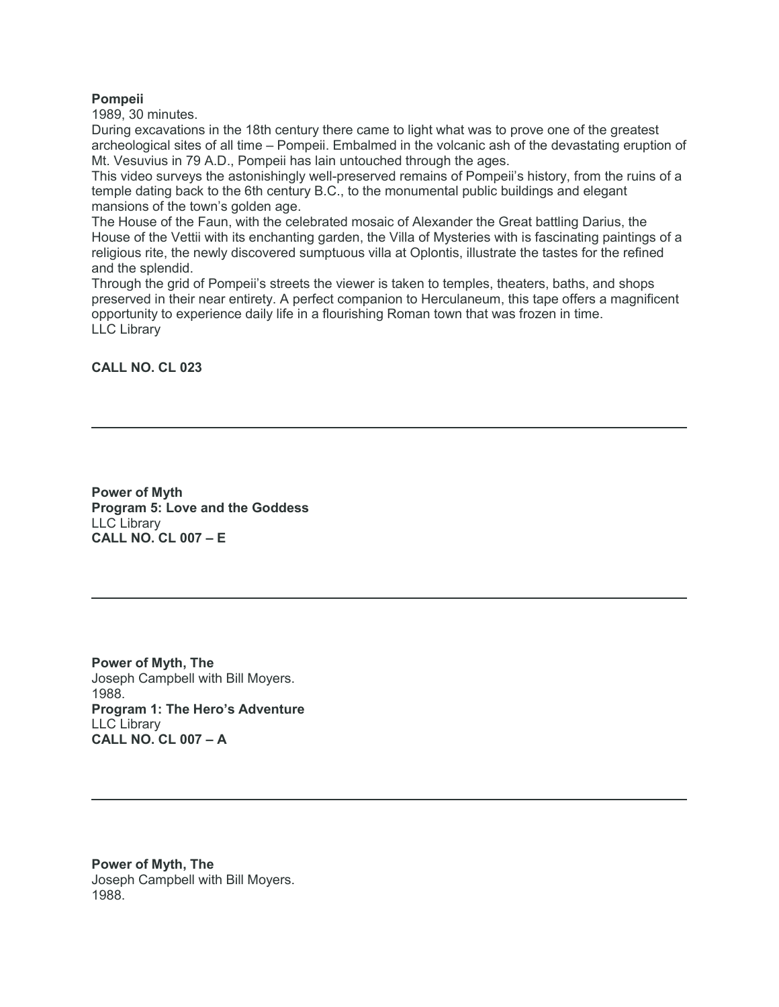### **Pompeii**

1989, 30 minutes.

During excavations in the 18th century there came to light what was to prove one of the greatest archeological sites of all time – Pompeii. Embalmed in the volcanic ash of the devastating eruption of Mt. Vesuvius in 79 A.D., Pompeii has lain untouched through the ages.

This video surveys the astonishingly well-preserved remains of Pompeii's history, from the ruins of a temple dating back to the 6th century B.C., to the monumental public buildings and elegant mansions of the town's golden age.

The House of the Faun, with the celebrated mosaic of Alexander the Great battling Darius, the House of the Vettii with its enchanting garden, the Villa of Mysteries with is fascinating paintings of a religious rite, the newly discovered sumptuous villa at Oplontis, illustrate the tastes for the refined and the splendid.

Through the grid of Pompeii's streets the viewer is taken to temples, theaters, baths, and shops preserved in their near entirety. A perfect companion to Herculaneum, this tape offers a magnificent opportunity to experience daily life in a flourishing Roman town that was frozen in time. LLC Library

### **CALL NO. CL 023**

**Power of Myth Program 5: Love and the Goddess** LLC Library **CALL NO. CL 007 – E**

**Power of Myth, The** Joseph Campbell with Bill Moyers. 1988. **Program 1: The Hero's Adventure** LLC Library **CALL NO. CL 007 – A**

**Power of Myth, The** Joseph Campbell with Bill Moyers. 1988.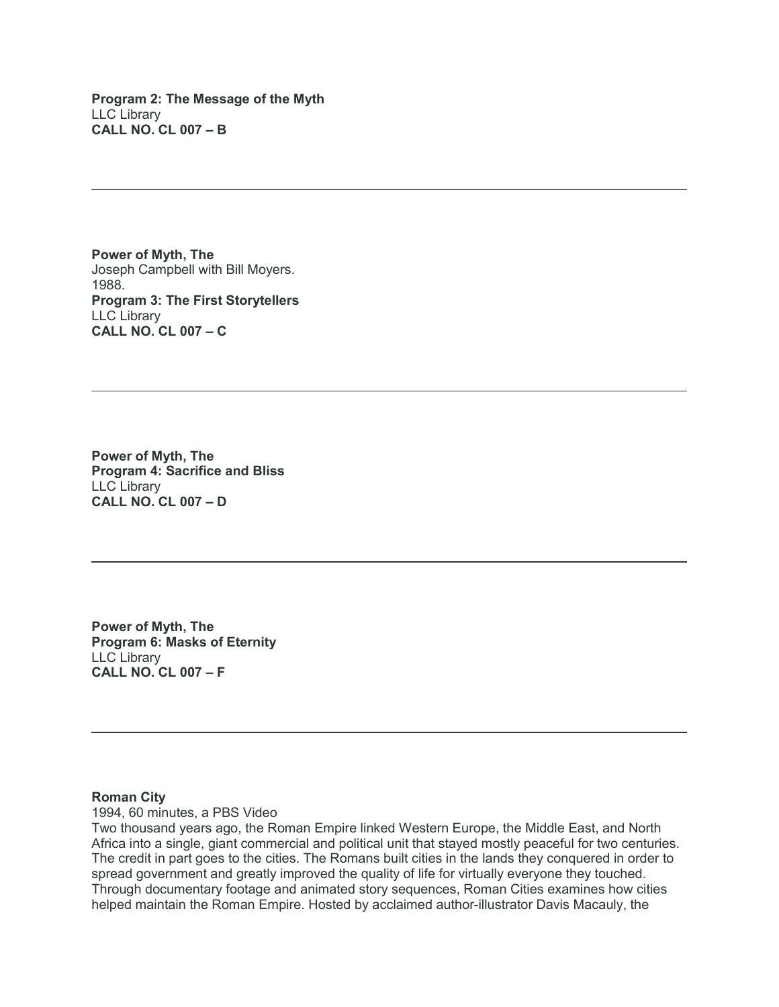**Program 2: The Message of the Myth** LLC Library **CALL NO. CL 007 – B**

**Power of Myth, The** Joseph Campbell with Bill Moyers. 1988. **Program 3: The First Storytellers** LLC Library **CALL NO. CL 007 – C**

**Power of Myth, The Program 4: Sacrifice and Bliss** LLC Library **CALL NO. CL 007 – D**

**Power of Myth, The Program 6: Masks of Eternity** LLC Library **CALL NO. CL 007 – F**

### **Roman City**

1994, 60 minutes, a PBS Video

Two thousand years ago, the Roman Empire linked Western Europe, the Middle East, and North Africa into a single, giant commercial and political unit that stayed mostly peaceful for two centuries. The credit in part goes to the cities. The Romans built cities in the lands they conquered in order to spread government and greatly improved the quality of life for virtually everyone they touched. Through documentary footage and animated story sequences, Roman Cities examines how cities helped maintain the Roman Empire. Hosted by acclaimed author-illustrator Davis Macauly, the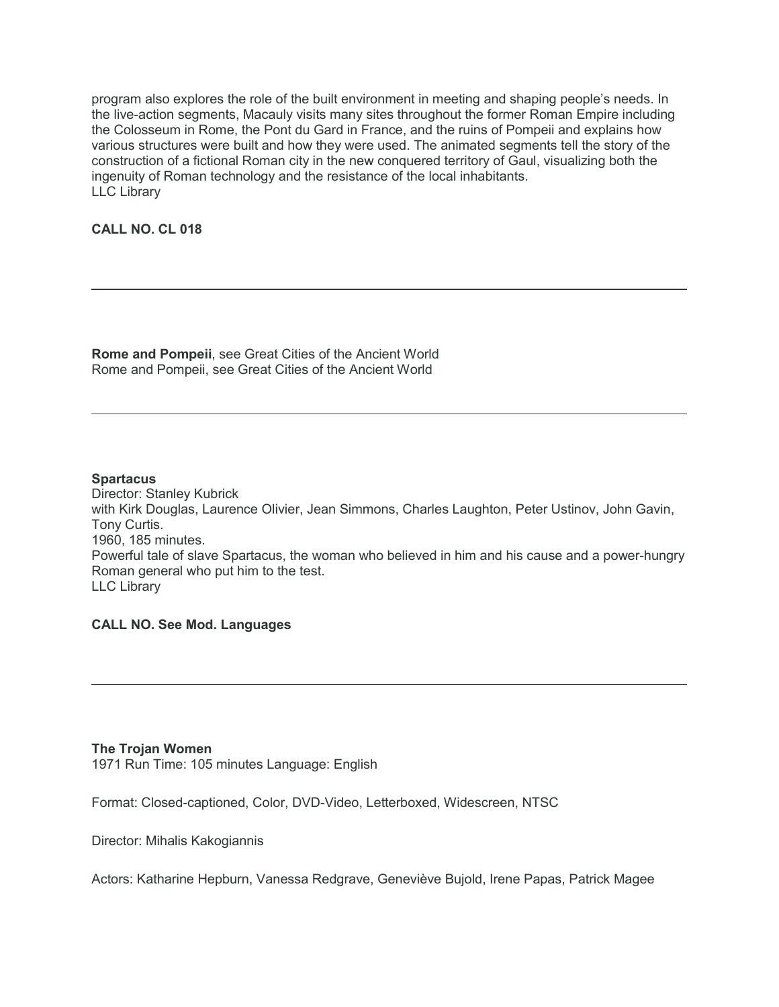program also explores the role of the built environment in meeting and shaping people's needs. In the live-action segments, Macauly visits many sites throughout the former Roman Empire including the Colosseum in Rome, the Pont du Gard in France, and the ruins of Pompeii and explains how various structures were built and how they were used. The animated segments tell the story of the construction of a fictional Roman city in the new conquered territory of Gaul, visualizing both the ingenuity of Roman technology and the resistance of the local inhabitants. LLC Library

### **CALL NO. CL 018**

**Rome and Pompeii**, see Great Cities of the Ancient World Rome and Pompeii, see Great Cities of the Ancient World

#### **Spartacus**

Director: Stanley Kubrick with Kirk Douglas, Laurence Olivier, Jean Simmons, Charles Laughton, Peter Ustinov, John Gavin, Tony Curtis. 1960, 185 minutes. Powerful tale of slave Spartacus, the woman who believed in him and his cause and a power-hungry Roman general who put him to the test. LLC Library

### **CALL NO. See Mod. Languages**

#### **The Trojan Women**

1971 Run Time: 105 minutes Language: English

Format: Closed-captioned, Color, DVD-Video, Letterboxed, Widescreen, NTSC

Director: Mihalis Kakogiannis

Actors: Katharine Hepburn, Vanessa Redgrave, Geneviève Bujold, Irene Papas, Patrick Magee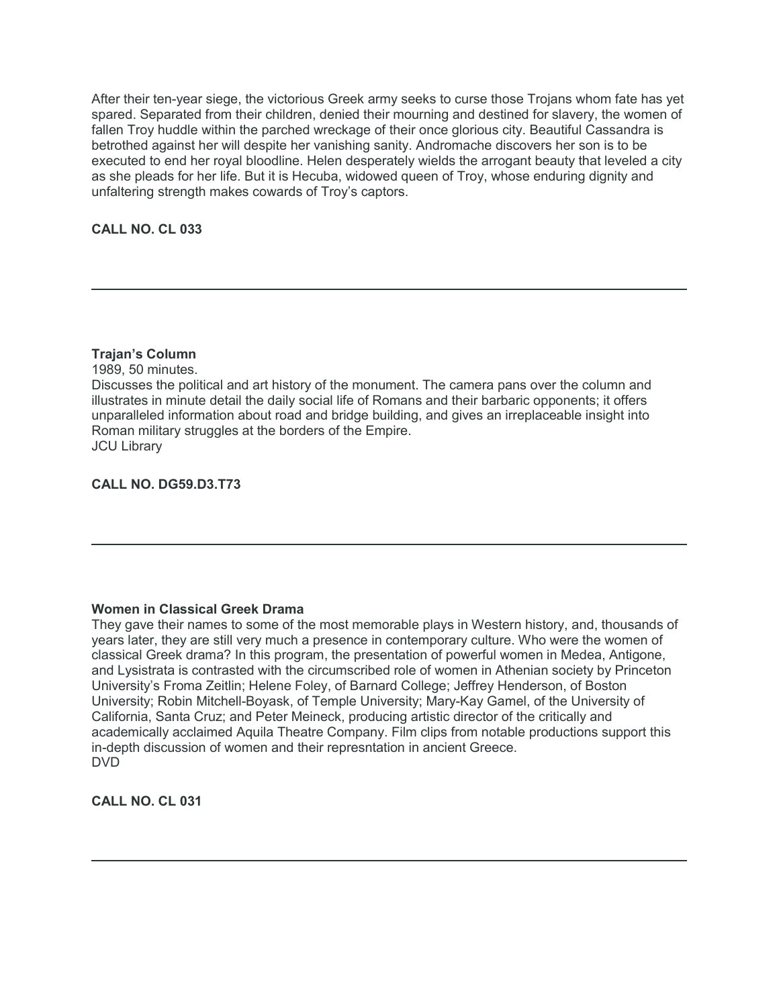After their ten-year siege, the victorious Greek army seeks to curse those Trojans whom fate has yet spared. Separated from their children, denied their mourning and destined for slavery, the women of fallen Troy huddle within the parched wreckage of their once glorious city. Beautiful Cassandra is betrothed against her will despite her vanishing sanity. Andromache discovers her son is to be executed to end her royal bloodline. Helen desperately wields the arrogant beauty that leveled a city as she pleads for her life. But it is Hecuba, widowed queen of Troy, whose enduring dignity and unfaltering strength makes cowards of Troy's captors.

**CALL NO. CL 033**

### **Trajan's Column**

1989, 50 minutes.

Discusses the political and art history of the monument. The camera pans over the column and illustrates in minute detail the daily social life of Romans and their barbaric opponents; it offers unparalleled information about road and bridge building, and gives an irreplaceable insight into Roman military struggles at the borders of the Empire. JCU Library

**CALL NO. DG59.D3.T73**

### **Women in Classical Greek Drama**

They gave their names to some of the most memorable plays in Western history, and, thousands of years later, they are still very much a presence in contemporary culture. Who were the women of classical Greek drama? In this program, the presentation of powerful women in Medea, Antigone, and Lysistrata is contrasted with the circumscribed role of women in Athenian society by Princeton University's Froma Zeitlin; Helene Foley, of Barnard College; Jeffrey Henderson, of Boston University; Robin Mitchell-Boyask, of Temple University; Mary-Kay Gamel, of the University of California, Santa Cruz; and Peter Meineck, producing artistic director of the critically and academically acclaimed Aquila Theatre Company. Film clips from notable productions support this in-depth discussion of women and their represntation in ancient Greece. DVD

**CALL NO. CL 031**